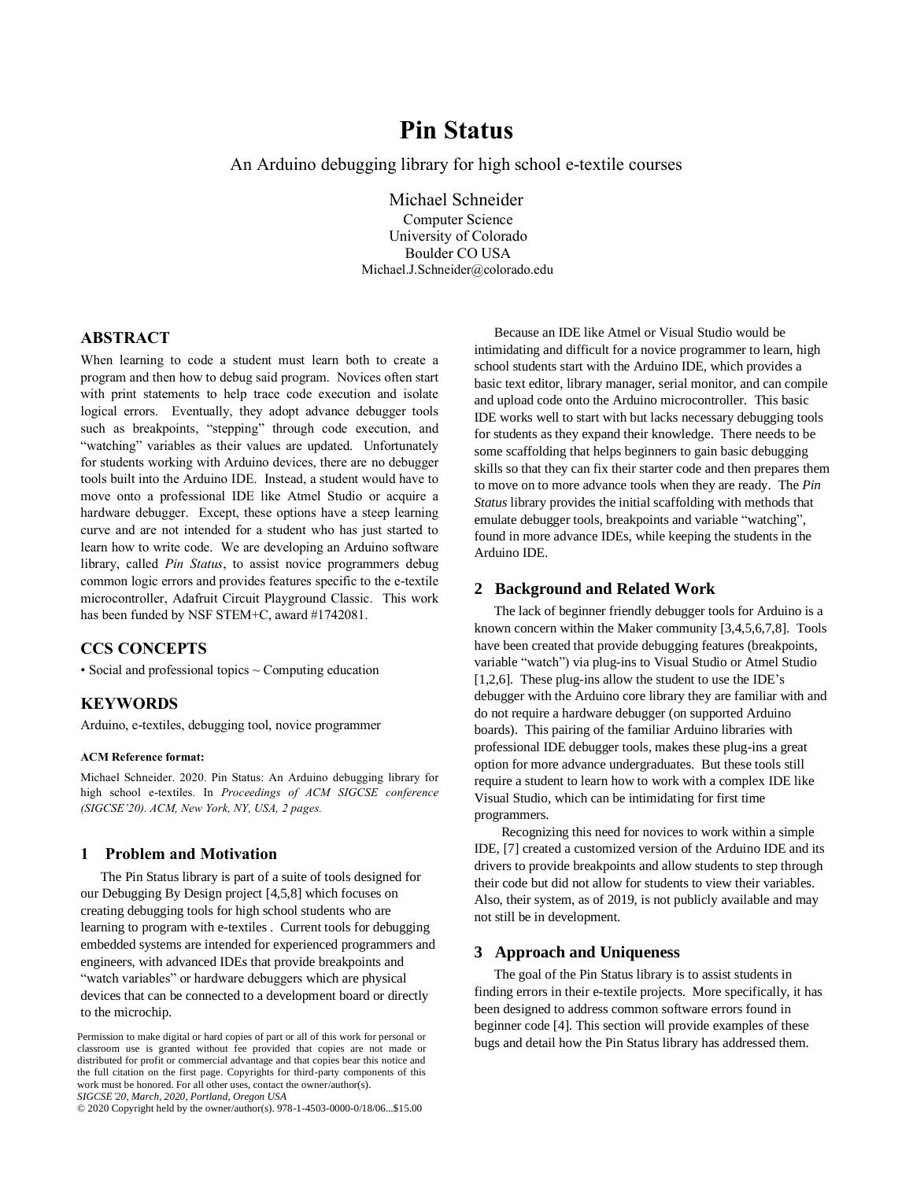# **Pin Status**

An Arduino debugging library for high school e-textile courses

Michael Schneider

Computer Science University of Colorado Boulder CO USA Michael.J.Schneider@colorado.edu

# **ABSTRACT**

When learning to code a student must learn both to create a program and then how to debug said program. Novices often start with print statements to help trace code execution and isolate logical errors. Eventually, they adopt advance debugger tools such as breakpoints, "stepping" through code execution, and "watching" variables as their values are updated. Unfortunately for students working with Arduino devices, there are no debugger tools built into the Arduino IDE. Instead, a student would have to move onto a professional IDE like Atmel Studio or acquire a hardware debugger. Except, these options have a steep learning curve and are not intended for a student who has just started to learn how to write code. We are developing an Arduino software library, called *Pin Status*, to assist novice programmers debug common logic errors and provides features specific to the e-textile microcontroller, Adafruit Circuit Playground Classic. This work has been funded by NSF STEM+C, award #1742081.

# **CCS CONCEPTS**

• Social and professional topics ~ Computing education

# **KEYWORDS**

Arduino, e-textiles, debugging tool, novice programmer

#### **ACM Reference format:**

Michael Schneider. 2020. Pin Status: An Arduino debugging library for high school e-textiles. In *Proceedings of ACM SIGCSE conference (SIGCSE'20). ACM, New York, NY, USA, 2 pages.*

#### **1 Problem and Motivation**

The Pin Status library is part of a suite of tools designed for our Debugging By Design project [4,5,8] which focuses on creating debugging tools for high school students who are learning to program with e-textiles . Current tools for debugging embedded systems are intended for experienced programmers and engineers, with advanced IDEs that provide breakpoints and "watch variables" or hardware debuggers which are physical devices that can be connected to a development board or directly to the microchip.

© 2020 Copyright held by the owner/author(s). 978-1-4503-0000-0/18/06...\$15.00

Because an IDE like Atmel or Visual Studio would be intimidating and difficult for a novice programmer to learn, high school students start with the Arduino IDE, which provides a basic text editor, library manager, serial monitor, and can compile and upload code onto the Arduino microcontroller. This basic IDE works well to start with but lacks necessary debugging tools for students as they expand their knowledge. There needs to be some scaffolding that helps beginners to gain basic debugging skills so that they can fix their starter code and then prepares them to move on to more advance tools when they are ready. The *Pin Status* library provides the initial scaffolding with methods that emulate debugger tools, breakpoints and variable "watching", found in more advance IDEs, while keeping the students in the Arduino IDE.

#### **2 Background and Related Work**

The lack of beginner friendly debugger tools for Arduino is a known concern within the Maker community [3,4,5,6,7,8]. Tools have been created that provide debugging features (breakpoints, variable "watch") via plug-ins to Visual Studio or Atmel Studio [1,2,6]. These plug-ins allow the student to use the IDE's debugger with the Arduino core library they are familiar with and do not require a hardware debugger (on supported Arduino boards). This pairing of the familiar Arduino libraries with professional IDE debugger tools, makes these plug-ins a great option for more advance undergraduates. But these tools still require a student to learn how to work with a complex IDE like Visual Studio, which can be intimidating for first time programmers.

Recognizing this need for novices to work within a simple IDE, [7] created a customized version of the Arduino IDE and its drivers to provide breakpoints and allow students to step through their code but did not allow for students to view their variables. Also, their system, as of 2019, is not publicly available and may not still be in development.

## **3 Approach and Uniqueness**

The goal of the Pin Status library is to assist students in finding errors in their e-textile projects. More specifically, it has been designed to address common software errors found in beginner code [4]. This section will provide examples of these Permission to make digital or hard copies of part or all of this work for personal or<br>plugs and detail how the Pin Status library has addressed them.

classroom use is granted without fee provided that copies are not made or distributed for profit or commercial advantage and that copies bear this notice and the full citation on the first page. Copyrights for third-party components of this work must be honored. For all other uses, contact the owner/author(s). *SIGCSE'20, March, 2020, Portland, Oregon USA*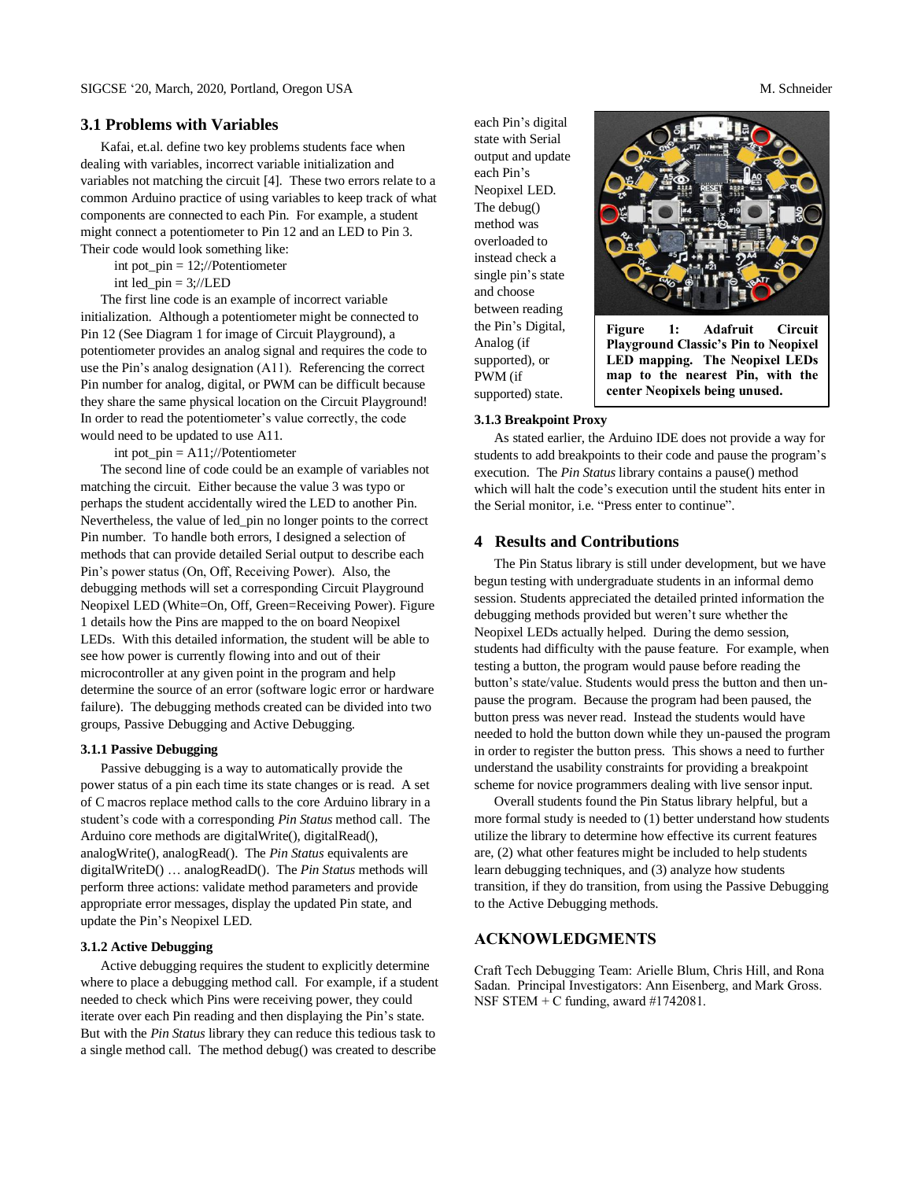#### **3.1 Problems with Variables**

Kafai, et.al. define two key problems students face when dealing with variables, incorrect variable initialization and variables not matching the circuit [4]. These two errors relate to a common Arduino practice of using variables to keep track of what components are connected to each Pin. For example, a student might connect a potentiometer to Pin 12 and an LED to Pin 3. Their code would look something like:

int pot\_pin = 12;//Potentiometer

int led  $pin = 3$ ;//LED

The first line code is an example of incorrect variable initialization. Although a potentiometer might be connected to Pin 12 (See Diagram 1 for image of Circuit Playground), a potentiometer provides an analog signal and requires the code to use the Pin's analog designation (A11). Referencing the correct Pin number for analog, digital, or PWM can be difficult because they share the same physical location on the Circuit Playground! In order to read the potentiometer's value correctly, the code would need to be updated to use A11.

int pot\_pin =  $A11$ ;//Potentiometer

The second line of code could be an example of variables not matching the circuit. Either because the value 3 was typo or perhaps the student accidentally wired the LED to another Pin. Nevertheless, the value of led\_pin no longer points to the correct Pin number. To handle both errors, I designed a selection of methods that can provide detailed Serial output to describe each Pin's power status (On, Off, Receiving Power). Also, the debugging methods will set a corresponding Circuit Playground Neopixel LED (White=On, Off, Green=Receiving Power). Figure 1 details how the Pins are mapped to the on board Neopixel LEDs. With this detailed information, the student will be able to see how power is currently flowing into and out of their microcontroller at any given point in the program and help determine the source of an error (software logic error or hardware failure). The debugging methods created can be divided into two groups, Passive Debugging and Active Debugging.

#### **3.1.1 Passive Debugging**

Passive debugging is a way to automatically provide the power status of a pin each time its state changes or is read. A set of C macros replace method calls to the core Arduino library in a student's code with a corresponding *Pin Status* method call. The Arduino core methods are digitalWrite(), digitalRead(), analogWrite(), analogRead(). The *Pin Status* equivalents are digitalWriteD() … analogReadD(). The *Pin Status* methods will perform three actions: validate method parameters and provide appropriate error messages, display the updated Pin state, and update the Pin's Neopixel LED.

#### **3.1.2 Active Debugging**

Active debugging requires the student to explicitly determine where to place a debugging method call. For example, if a student needed to check which Pins were receiving power, they could iterate over each Pin reading and then displaying the Pin's state. But with the *Pin Status* library they can reduce this tedious task to a single method call. The method debug() was created to describe

each Pin's digital state with Serial output and update each Pin's Neopixel LED. The debug() method was overloaded to instead check a single pin's state and choose between reading the Pin's Digital, Analog (if supported), or PWM (if supported) state.



**Figure 1: Adafruit Circuit Playground Classic's Pin to Neopixel LED mapping. The Neopixel LEDs map to the nearest Pin, with the center Neopixels being unused.** 

#### **3.1.3 Breakpoint Proxy**

As stated earlier, the Arduino IDE does not provide a way for students to add breakpoints to their code and pause the program's execution. The *Pin Status* library contains a pause() method which will halt the code's execution until the student hits enter in the Serial monitor, i.e. "Press enter to continue".

# **4 Results and Contributions**

The Pin Status library is still under development, but we have begun testing with undergraduate students in an informal demo session. Students appreciated the detailed printed information the debugging methods provided but weren't sure whether the Neopixel LEDs actually helped. During the demo session, students had difficulty with the pause feature. For example, when testing a button, the program would pause before reading the button's state/value. Students would press the button and then unpause the program. Because the program had been paused, the button press was never read. Instead the students would have needed to hold the button down while they un-paused the program in order to register the button press. This shows a need to further understand the usability constraints for providing a breakpoint scheme for novice programmers dealing with live sensor input.

Overall students found the Pin Status library helpful, but a more formal study is needed to (1) better understand how students utilize the library to determine how effective its current features are, (2) what other features might be included to help students learn debugging techniques, and (3) analyze how students transition, if they do transition, from using the Passive Debugging to the Active Debugging methods.

# **ACKNOWLEDGMENTS**

Craft Tech Debugging Team: Arielle Blum, Chris Hill, and Rona Sadan. Principal Investigators: Ann Eisenberg, and Mark Gross. NSF STEM + C funding, award #1742081.